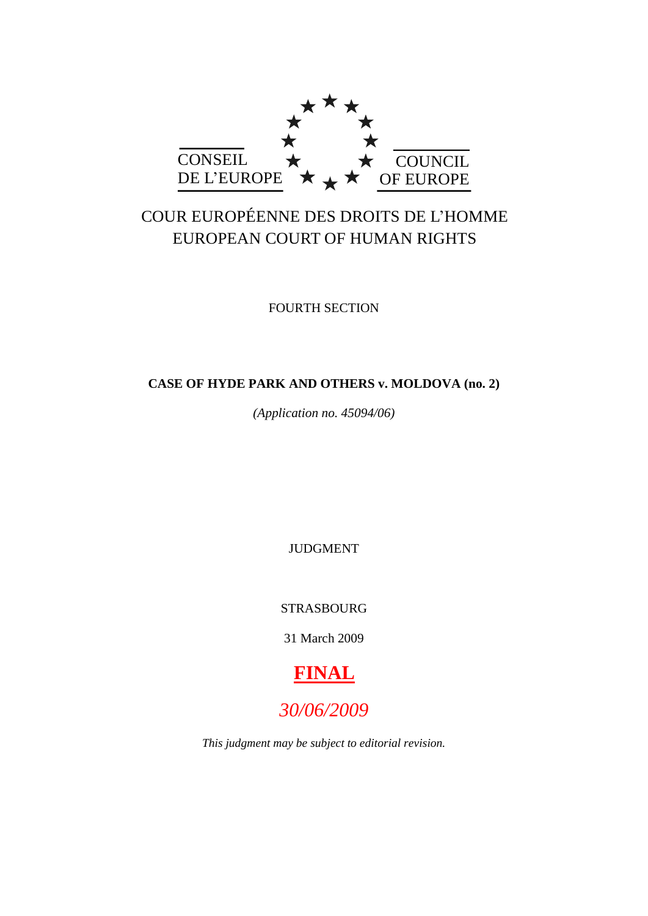

# COUR EUROPÉENNE DES DROITS DE L'HOMME EUROPEAN COURT OF HUMAN RIGHTS

FOURTH SECTION

# **CASE OF HYDE PARK AND OTHERS v. MOLDOVA (no. 2)**

*(Application no. 45094/06)*

JUDGMENT

STRASBOURG

31 March 2009



# *30/06/2009*

*This judgment may be subject to editorial revision.*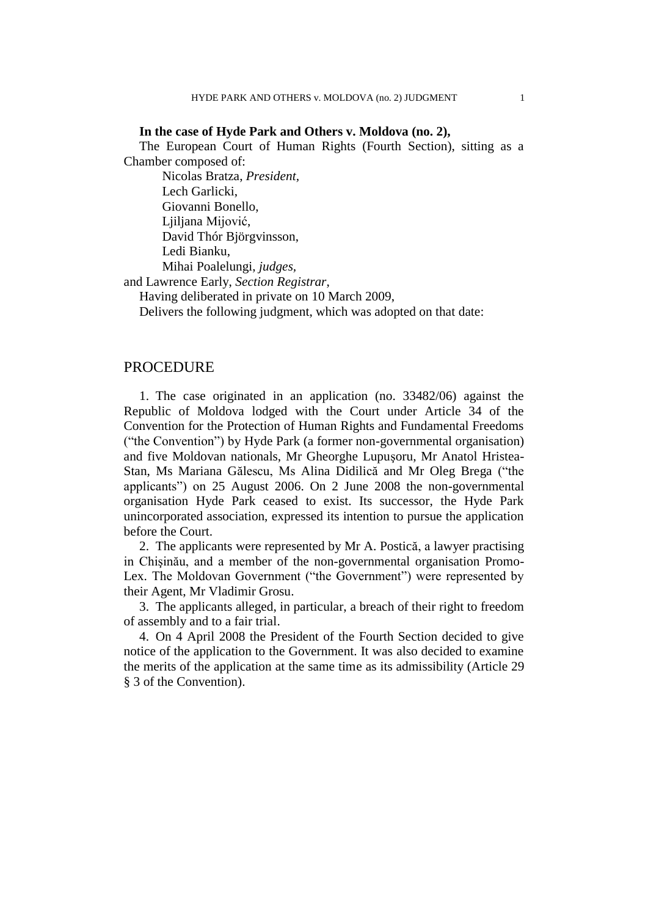## **In the case of Hyde Park and Others v. Moldova (no. 2),**

The European Court of Human Rights (Fourth Section), sitting as a Chamber composed of:

Nicolas Bratza, *President,* Lech Garlicki, Giovanni Bonello, Ljiljana Mijović, David Thór Björgvinsson, Ledi Bianku, Mihai Poalelungi, *judges,*

and Lawrence Early, *Section Registrar*,

Having deliberated in private on 10 March 2009,

Delivers the following judgment, which was adopted on that date:

# PROCEDURE

1. The case originated in an application (no. 33482/06) against the Republic of Moldova lodged with the Court under Article 34 of the Convention for the Protection of Human Rights and Fundamental Freedoms ("the Convention") by Hyde Park (a former non-governmental organisation) and five Moldovan nationals, Mr Gheorghe Lupuşoru, Mr Anatol Hristea-Stan, Ms Mariana Gălescu, Ms Alina Didilică and Mr Oleg Brega ("the applicants") on 25 August 2006. On 2 June 2008 the non-governmental organisation Hyde Park ceased to exist. Its successor, the Hyde Park unincorporated association, expressed its intention to pursue the application before the Court.

2. The applicants were represented by Mr A. Postică, a lawyer practising in Chişinău, and a member of the non-governmental organisation Promo-Lex. The Moldovan Government ("the Government") were represented by their Agent, Mr Vladimir Grosu.

3. The applicants alleged, in particular, a breach of their right to freedom of assembly and to a fair trial.

4. On 4 April 2008 the President of the Fourth Section decided to give notice of the application to the Government. It was also decided to examine the merits of the application at the same time as its admissibility (Article 29 § 3 of the Convention).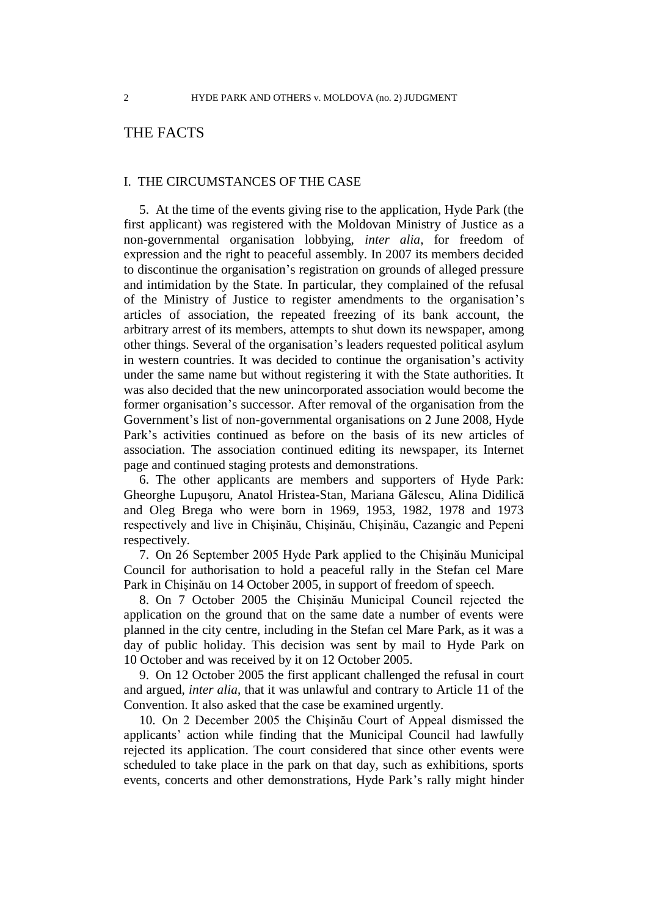# THE FACTS

### I. THE CIRCUMSTANCES OF THE CASE

5. At the time of the events giving rise to the application, Hyde Park (the first applicant) was registered with the Moldovan Ministry of Justice as a non-governmental organisation lobbying, *inter alia*, for freedom of expression and the right to peaceful assembly. In 2007 its members decided to discontinue the organisation's registration on grounds of alleged pressure and intimidation by the State. In particular, they complained of the refusal of the Ministry of Justice to register amendments to the organisation's articles of association, the repeated freezing of its bank account, the arbitrary arrest of its members, attempts to shut down its newspaper, among other things. Several of the organisation's leaders requested political asylum in western countries. It was decided to continue the organisation's activity under the same name but without registering it with the State authorities. It was also decided that the new unincorporated association would become the former organisation's successor. After removal of the organisation from the Government's list of non-governmental organisations on 2 June 2008, Hyde Park's activities continued as before on the basis of its new articles of association. The association continued editing its newspaper, its Internet page and continued staging protests and demonstrations.

6. The other applicants are members and supporters of Hyde Park: Gheorghe Lupuşoru, Anatol Hristea-Stan, Mariana Gălescu, Alina Didilică and Oleg Brega who were born in 1969, 1953, 1982, 1978 and 1973 respectively and live in Chişinău, Chişinău, Chişinău, Cazangic and Pepeni respectively.

7. On 26 September 2005 Hyde Park applied to the Chişinău Municipal Council for authorisation to hold a peaceful rally in the Stefan cel Mare Park in Chişinău on 14 October 2005, in support of freedom of speech.

<span id="page-3-0"></span>8. On 7 October 2005 the Chişinău Municipal Council rejected the application on the ground that on the same date a number of events were planned in the city centre, including in the Stefan cel Mare Park, as it was a day of public holiday. This decision was sent by mail to Hyde Park on 10 October and was received by it on 12 October 2005.

9. On 12 October 2005 the first applicant challenged the refusal in court and argued, *inter alia*, that it was unlawful and contrary to Article 11 of the Convention. It also asked that the case be examined urgently.

10. On 2 December 2005 the Chişinău Court of Appeal dismissed the applicants' action while finding that the Municipal Council had lawfully rejected its application. The court considered that since other events were scheduled to take place in the park on that day, such as exhibitions, sports events, concerts and other demonstrations, Hyde Park's rally might hinder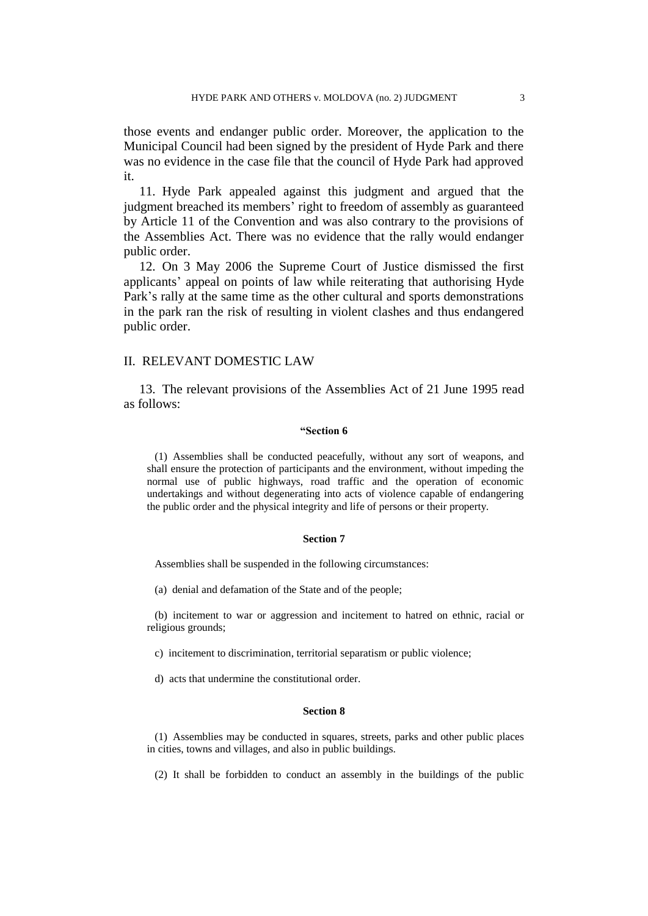those events and endanger public order. Moreover, the application to the Municipal Council had been signed by the president of Hyde Park and there was no evidence in the case file that the council of Hyde Park had approved it.

11. Hyde Park appealed against this judgment and argued that the judgment breached its members' right to freedom of assembly as guaranteed by Article 11 of the Convention and was also contrary to the provisions of the Assemblies Act. There was no evidence that the rally would endanger public order.

12. On 3 May 2006 the Supreme Court of Justice dismissed the first applicants' appeal on points of law while reiterating that authorising Hyde Park's rally at the same time as the other cultural and sports demonstrations in the park ran the risk of resulting in violent clashes and thus endangered public order.

### II. RELEVANT DOMESTIC LAW

13. The relevant provisions of the Assemblies Act of 21 June 1995 read as follows:

#### **"Section 6**

(1) Assemblies shall be conducted peacefully, without any sort of weapons, and shall ensure the protection of participants and the environment, without impeding the normal use of public highways, road traffic and the operation of economic undertakings and without degenerating into acts of violence capable of endangering the public order and the physical integrity and life of persons or their property.

#### **Section 7**

Assemblies shall be suspended in the following circumstances:

(a) denial and defamation of the State and of the people;

(b) incitement to war or aggression and incitement to hatred on ethnic, racial or religious grounds;

c) incitement to discrimination, territorial separatism or public violence;

d) acts that undermine the constitutional order.

#### **Section 8**

(1) Assemblies may be conducted in squares, streets, parks and other public places in cities, towns and villages, and also in public buildings.

(2) It shall be forbidden to conduct an assembly in the buildings of the public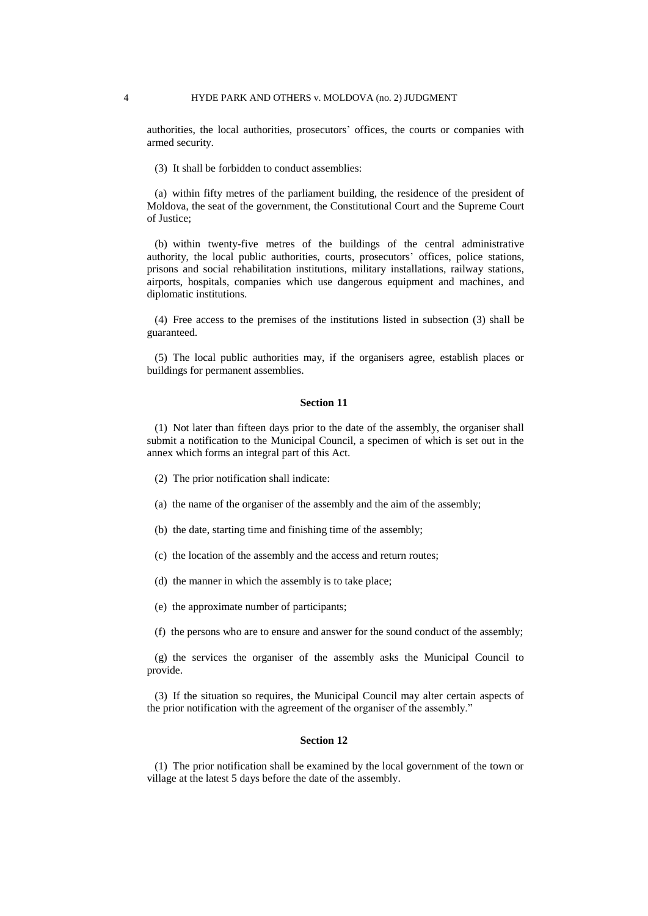authorities, the local authorities, prosecutors' offices, the courts or companies with armed security.

(3) It shall be forbidden to conduct assemblies:

(a) within fifty metres of the parliament building, the residence of the president of Moldova, the seat of the government, the Constitutional Court and the Supreme Court of Justice;

(b) within twenty-five metres of the buildings of the central administrative authority, the local public authorities, courts, prosecutors' offices, police stations, prisons and social rehabilitation institutions, military installations, railway stations, airports, hospitals, companies which use dangerous equipment and machines, and diplomatic institutions.

(4) Free access to the premises of the institutions listed in subsection (3) shall be guaranteed.

(5) The local public authorities may, if the organisers agree, establish places or buildings for permanent assemblies.

#### **Section 11**

(1) Not later than fifteen days prior to the date of the assembly, the organiser shall submit a notification to the Municipal Council, a specimen of which is set out in the annex which forms an integral part of this Act.

- (2) The prior notification shall indicate:
- (a) the name of the organiser of the assembly and the aim of the assembly;
- (b) the date, starting time and finishing time of the assembly;
- (c) the location of the assembly and the access and return routes;
- (d) the manner in which the assembly is to take place;
- (e) the approximate number of participants;
- (f) the persons who are to ensure and answer for the sound conduct of the assembly;

(g) the services the organiser of the assembly asks the Municipal Council to provide.

(3) If the situation so requires, the Municipal Council may alter certain aspects of the prior notification with the agreement of the organiser of the assembly."

#### **Section 12**

(1) The prior notification shall be examined by the local government of the town or village at the latest 5 days before the date of the assembly.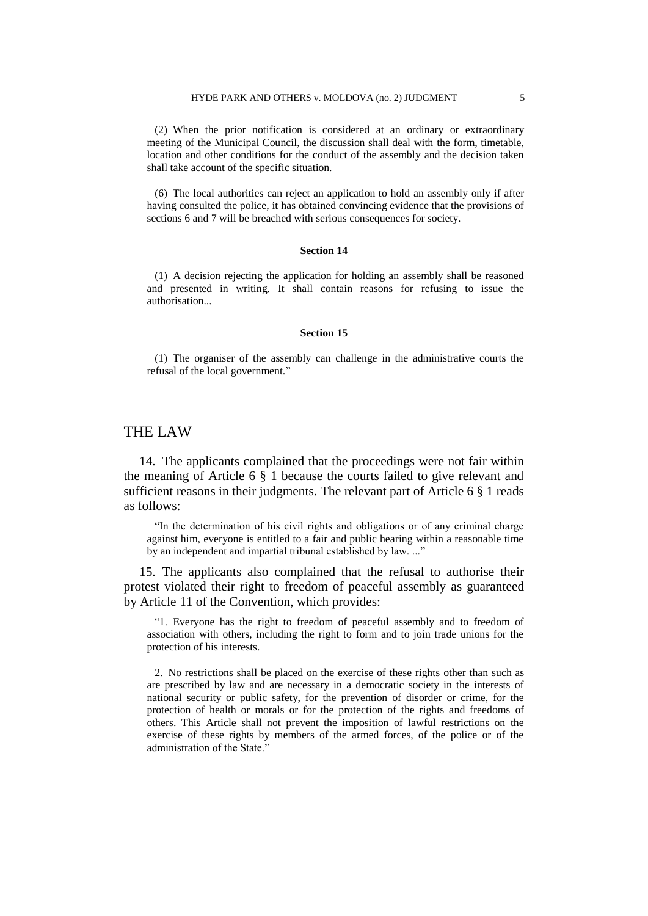(2) When the prior notification is considered at an ordinary or extraordinary meeting of the Municipal Council, the discussion shall deal with the form, timetable, location and other conditions for the conduct of the assembly and the decision taken shall take account of the specific situation.

(6) The local authorities can reject an application to hold an assembly only if after having consulted the police, it has obtained convincing evidence that the provisions of sections 6 and 7 will be breached with serious consequences for society.

#### **Section 14**

(1) A decision rejecting the application for holding an assembly shall be reasoned and presented in writing. It shall contain reasons for refusing to issue the authorisation...

#### **Section 15**

(1) The organiser of the assembly can challenge in the administrative courts the refusal of the local government."

# THE LAW

14. The applicants complained that the proceedings were not fair within the meaning of Article 6 § 1 because the courts failed to give relevant and sufficient reasons in their judgments. The relevant part of Article 6 § 1 reads as follows:

"In the determination of his civil rights and obligations or of any criminal charge against him, everyone is entitled to a fair and public hearing within a reasonable time by an independent and impartial tribunal established by law. ..."

15. The applicants also complained that the refusal to authorise their protest violated their right to freedom of peaceful assembly as guaranteed by Article 11 of the Convention, which provides:

"1. Everyone has the right to freedom of peaceful assembly and to freedom of association with others, including the right to form and to join trade unions for the protection of his interests.

2. No restrictions shall be placed on the exercise of these rights other than such as are prescribed by law and are necessary in a democratic society in the interests of national security or public safety, for the prevention of disorder or crime, for the protection of health or morals or for the protection of the rights and freedoms of others. This Article shall not prevent the imposition of lawful restrictions on the exercise of these rights by members of the armed forces, of the police or of the administration of the State."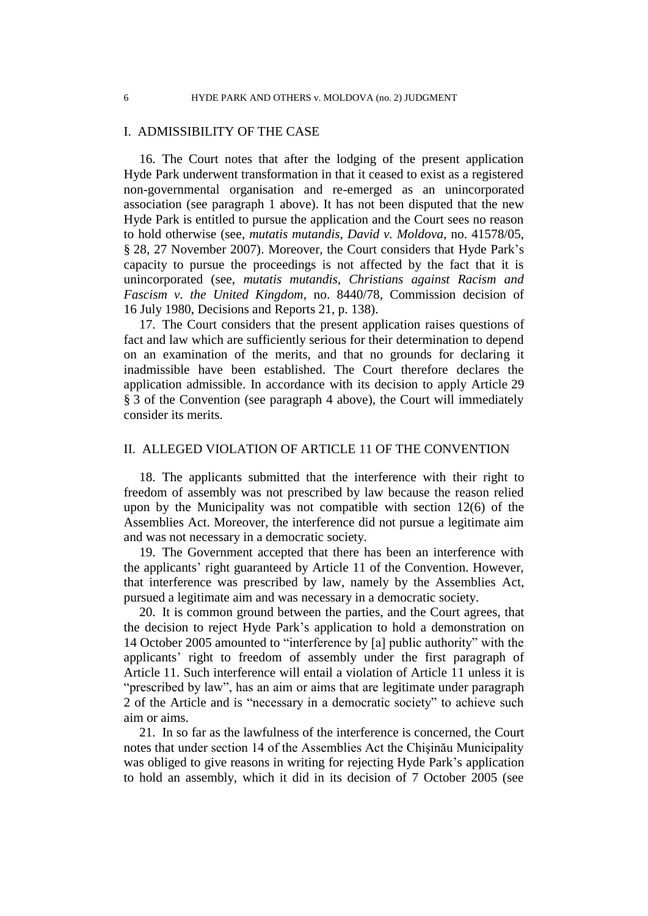# I. ADMISSIBILITY OF THE CASE

16. The Court notes that after the lodging of the present application Hyde Park underwent transformation in that it ceased to exist as a registered non-governmental organisation and re-emerged as an unincorporated association (see paragraph 1 above). It has not been disputed that the new Hyde Park is entitled to pursue the application and the Court sees no reason to hold otherwise (see, *mutatis mutandis*, *David v. Moldova*, no. 41578/05, § 28, 27 November 2007). Moreover, the Court considers that Hyde Park's capacity to pursue the proceedings is not affected by the fact that it is unincorporated (see, *mutatis mutandis, Christians against Racism and Fascism v. the United Kingdom*, no. 8440/78, Commission decision of 16 July 1980, Decisions and Reports 21, p. 138).

17. The Court considers that the present application raises questions of fact and law which are sufficiently serious for their determination to depend on an examination of the merits, and that no grounds for declaring it inadmissible have been established. The Court therefore declares the application admissible. In accordance with its decision to apply Article 29 § 3 of the Convention (see paragraph 4 above), the Court will immediately consider its merits.

## II. ALLEGED VIOLATION OF ARTICLE 11 OF THE CONVENTION

18. The applicants submitted that the interference with their right to freedom of assembly was not prescribed by law because the reason relied upon by the Municipality was not compatible with section 12(6) of the Assemblies Act. Moreover, the interference did not pursue a legitimate aim and was not necessary in a democratic society.

19. The Government accepted that there has been an interference with the applicants' right guaranteed by Article 11 of the Convention. However, that interference was prescribed by law, namely by the Assemblies Act, pursued a legitimate aim and was necessary in a democratic society.

20. It is common ground between the parties, and the Court agrees, that the decision to reject Hyde Park's application to hold a demonstration on 14 October 2005 amounted to "interference by [a] public authority" with the applicants' right to freedom of assembly under the first paragraph of Article 11. Such interference will entail a violation of Article 11 unless it is "prescribed by law", has an aim or aims that are legitimate under paragraph 2 of the Article and is "necessary in a democratic society" to achieve such aim or aims.

21. In so far as the lawfulness of the interference is concerned, the Court notes that under section 14 of the Assemblies Act the Chişinău Municipality was obliged to give reasons in writing for rejecting Hyde Park's application to hold an assembly, which it did in its decision of 7 October 2005 (see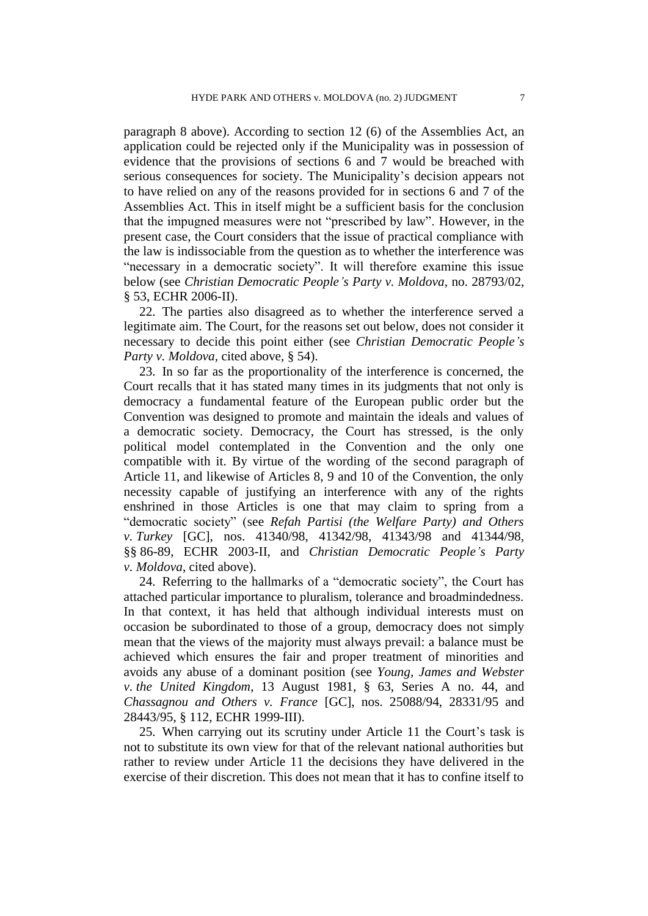paragraph [8](#page-3-0) above). According to section 12 (6) of the Assemblies Act, an application could be rejected only if the Municipality was in possession of evidence that the provisions of sections 6 and 7 would be breached with serious consequences for society. The Municipality's decision appears not to have relied on any of the reasons provided for in sections 6 and 7 of the Assemblies Act. This in itself might be a sufficient basis for the conclusion that the impugned measures were not "prescribed by law". However, in the present case, the Court considers that the issue of practical compliance with the law is indissociable from the question as to whether the interference was "necessary in a democratic society". It will therefore examine this issue below (see *Christian Democratic People's Party v. Moldova*, no. 28793/02, § 53, ECHR 2006-II).

22. The parties also disagreed as to whether the interference served a legitimate aim. The Court, for the reasons set out below, does not consider it necessary to decide this point either (see *Christian Democratic People's Party v. Moldova*, cited above, § 54).

23. In so far as the proportionality of the interference is concerned, the Court recalls that it has stated many times in its judgments that not only is democracy a fundamental feature of the European public order but the Convention was designed to promote and maintain the ideals and values of a democratic society. Democracy, the Court has stressed, is the only political model contemplated in the Convention and the only one compatible with it. By virtue of the wording of the second paragraph of Article 11, and likewise of Articles 8, 9 and 10 of the Convention, the only necessity capable of justifying an interference with any of the rights enshrined in those Articles is one that may claim to spring from a "democratic society" (see *Refah Partisi (the Welfare Party) and Others v. Turkey* [GC], nos. 41340/98, 41342/98, 41343/98 and 41344/98, §§ 86-89, ECHR 2003-II, and *Christian Democratic People's Party v. Moldova*, cited above).

24. Referring to the hallmarks of a "democratic society", the Court has attached particular importance to pluralism, tolerance and broadmindedness. In that context, it has held that although individual interests must on occasion be subordinated to those of a group, democracy does not simply mean that the views of the majority must always prevail: a balance must be achieved which ensures the fair and proper treatment of minorities and avoids any abuse of a dominant position (see *Young, James and Webster v. the United Kingdom*, 13 August 1981, § 63, Series A no. 44, and *Chassagnou and Others v. France* [GC], nos. 25088/94, 28331/95 and 28443/95, § 112, ECHR 1999-III).

25. When carrying out its scrutiny under Article 11 the Court's task is not to substitute its own view for that of the relevant national authorities but rather to review under Article 11 the decisions they have delivered in the exercise of their discretion. This does not mean that it has to confine itself to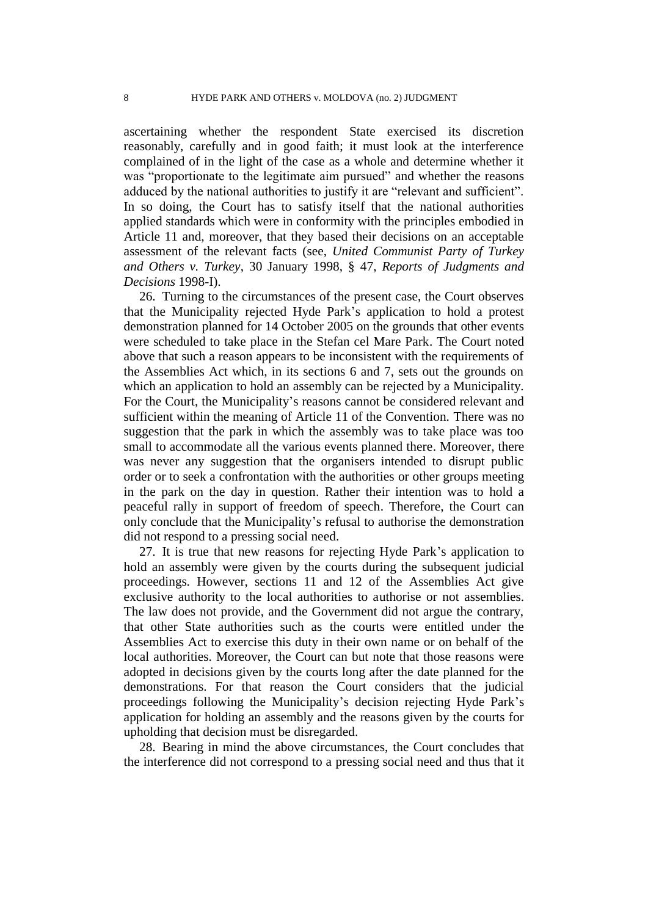ascertaining whether the respondent State exercised its discretion reasonably, carefully and in good faith; it must look at the interference complained of in the light of the case as a whole and determine whether it was "proportionate to the legitimate aim pursued" and whether the reasons adduced by the national authorities to justify it are "relevant and sufficient". In so doing, the Court has to satisfy itself that the national authorities applied standards which were in conformity with the principles embodied in Article 11 and, moreover, that they based their decisions on an acceptable assessment of the relevant facts (see, *United Communist Party of Turkey and Others v. Turkey*, 30 January 1998, § 47, *Reports of Judgments and Decisions* 1998-I).

26. Turning to the circumstances of the present case, the Court observes that the Municipality rejected Hyde Park's application to hold a protest demonstration planned for 14 October 2005 on the grounds that other events were scheduled to take place in the Stefan cel Mare Park. The Court noted above that such a reason appears to be inconsistent with the requirements of the Assemblies Act which, in its sections 6 and 7, sets out the grounds on which an application to hold an assembly can be rejected by a Municipality. For the Court, the Municipality's reasons cannot be considered relevant and sufficient within the meaning of Article 11 of the Convention. There was no suggestion that the park in which the assembly was to take place was too small to accommodate all the various events planned there. Moreover, there was never any suggestion that the organisers intended to disrupt public order or to seek a confrontation with the authorities or other groups meeting in the park on the day in question. Rather their intention was to hold a peaceful rally in support of freedom of speech. Therefore, the Court can only conclude that the Municipality's refusal to authorise the demonstration did not respond to a pressing social need.

27. It is true that new reasons for rejecting Hyde Park's application to hold an assembly were given by the courts during the subsequent judicial proceedings. However, sections 11 and 12 of the Assemblies Act give exclusive authority to the local authorities to authorise or not assemblies. The law does not provide, and the Government did not argue the contrary, that other State authorities such as the courts were entitled under the Assemblies Act to exercise this duty in their own name or on behalf of the local authorities. Moreover, the Court can but note that those reasons were adopted in decisions given by the courts long after the date planned for the demonstrations. For that reason the Court considers that the judicial proceedings following the Municipality's decision rejecting Hyde Park's application for holding an assembly and the reasons given by the courts for upholding that decision must be disregarded.

28. Bearing in mind the above circumstances, the Court concludes that the interference did not correspond to a pressing social need and thus that it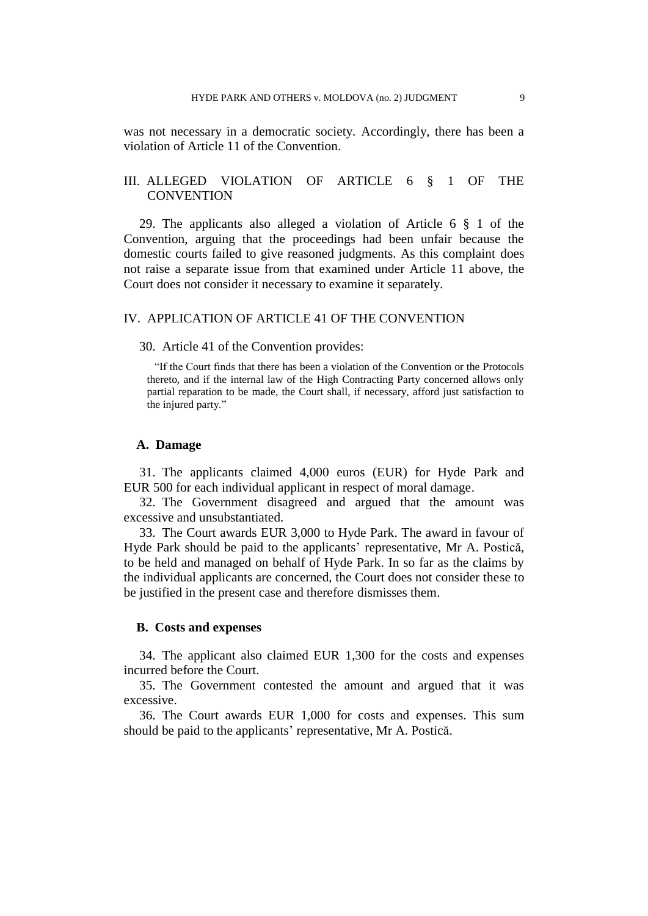was not necessary in a democratic society. Accordingly, there has been a violation of Article 11 of the Convention.

# III. ALLEGED VIOLATION OF ARTICLE 6 § 1 OF THE **CONVENTION**

29. The applicants also alleged a violation of Article 6 § 1 of the Convention, arguing that the proceedings had been unfair because the domestic courts failed to give reasoned judgments. As this complaint does not raise a separate issue from that examined under Article 11 above, the Court does not consider it necessary to examine it separately.

# IV. APPLICATION OF ARTICLE 41 OF THE CONVENTION

#### 30. Article 41 of the Convention provides:

"If the Court finds that there has been a violation of the Convention or the Protocols thereto, and if the internal law of the High Contracting Party concerned allows only partial reparation to be made, the Court shall, if necessary, afford just satisfaction to the injured party."

### **A. Damage**

31. The applicants claimed 4,000 euros (EUR) for Hyde Park and EUR 500 for each individual applicant in respect of moral damage.

32. The Government disagreed and argued that the amount was excessive and unsubstantiated.

33. The Court awards EUR 3,000 to Hyde Park. The award in favour of Hyde Park should be paid to the applicants' representative, Mr A. Postică, to be held and managed on behalf of Hyde Park. In so far as the claims by the individual applicants are concerned, the Court does not consider these to be justified in the present case and therefore dismisses them.

## **B. Costs and expenses**

34. The applicant also claimed EUR 1,300 for the costs and expenses incurred before the Court.

35. The Government contested the amount and argued that it was excessive.

36. The Court awards EUR 1,000 for costs and expenses. This sum should be paid to the applicants' representative, Mr A. Postică.